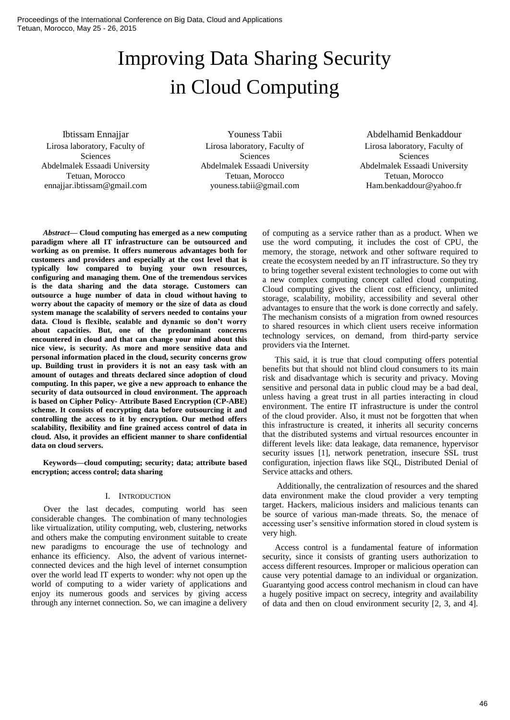# Improving Data Sharing Security in Cloud Computing

Ibtissam Ennajjar Lirosa laboratory, Faculty of **Sciences** Abdelmalek Essaadi University Tetuan, Morocco ennajjar.ibtissam@gmail.com

Youness Tabii Lirosa laboratory, Faculty of Sciences Abdelmalek Essaadi University Tetuan, Morocco youness.tabii@gmail.com

Abdelhamid Benkaddour Lirosa laboratory, Faculty of Sciences Abdelmalek Essaadi University Tetuan, Morocco Ham.benkaddour@yahoo.fr

*Abstract***— Cloud computing has emerged as a new computing paradigm where all IT infrastructure can be outsourced and working as on premise. It offers numerous advantages both for customers and providers and especially at the cost level that is typically low compared to buying your own resources, configuring and managing them. One of the tremendous services is the data sharing and the data storage. Customers can outsource a huge number of data in cloud without having to worry about the capacity of memory or the size of data as cloud system manage the scalability of servers needed to contains your data. Cloud is flexible, scalable and dynamic so don't worry about capacities. But, one of the predominant concerns encountered in cloud and that can change your mind about this nice view, is security. As more and more sensitive data and personal information placed in the cloud, security concerns grow up. Building trust in providers it is not an easy task with an amount of outages and threats declared since adoption of cloud computing. In this paper, we give a new approach to enhance the security of data outsourced in cloud environment. The approach is based on Cipher Policy- Attribute Based Encryption (CP-ABE) scheme. It consists of encrypting data before outsourcing it and controlling the access to it by encryption. Our method offers scalability, flexibility and fine grained access control of data in cloud. Also, it provides an efficient manner to share confidential data on cloud servers.** 

**Keywords—cloud computing; security; data; attribute based encryption; access control; data sharing**

### I. INTRODUCTION

Over the last decades, computing world has seen considerable changes. The combination of many technologies like virtualization, utility computing, web, clustering, networks and others make the computing environment suitable to create new paradigms to encourage the use of technology and enhance its efficiency. Also, the advent of various internetconnected devices and the high level of internet consumption over the world lead IT experts to wonder: why not open up the world of computing to a wider variety of applications and enjoy its numerous goods and services by giving access through any internet connection. So, we can imagine a delivery

of computing as a service rather than as a product. When we use the word computing, it includes the cost of CPU, the memory, the storage, network and other software required to create the ecosystem needed by an IT infrastructure. So they try to bring together several existent technologies to come out with a new complex computing concept called cloud computing. Cloud computing gives the client cost efficiency, unlimited storage, scalability, mobility, accessibility and several other advantages to ensure that the work is done correctly and safely. The mechanism consists of a migration from owned resources to shared resources in which client users receive information technology services, on demand, from third-party service providers via the Internet.

This said, it is true that cloud computing offers potential benefits but that should not blind cloud consumers to its main risk and disadvantage which is security and privacy. Moving sensitive and personal data in public cloud may be a bad deal, unless having a great trust in all parties interacting in cloud environment. The entire IT infrastructure is under the control of the cloud provider. Also, it must not be forgotten that when this infrastructure is created, it inherits all security concerns that the distributed systems and virtual resources encounter in different levels like: data leakage, data remanence, hypervisor security issues [1], network penetration, insecure SSL trust configuration, injection flaws like SQL, Distributed Denial of Service attacks and others.

Additionally, the centralization of resources and the shared data environment make the cloud provider a very tempting target. Hackers, malicious insiders and malicious tenants can be source of various man-made threats. So, the menace of accessing user's sensitive information stored in cloud system is very high.

Access control is a fundamental feature of information security, since it consists of granting users authorization to access different resources. Improper or malicious operation can cause very potential damage to an individual or organization. Guarantying good access control mechanism in cloud can have a hugely positive impact on secrecy, integrity and availability of data and then on cloud environment security [2, 3, and 4].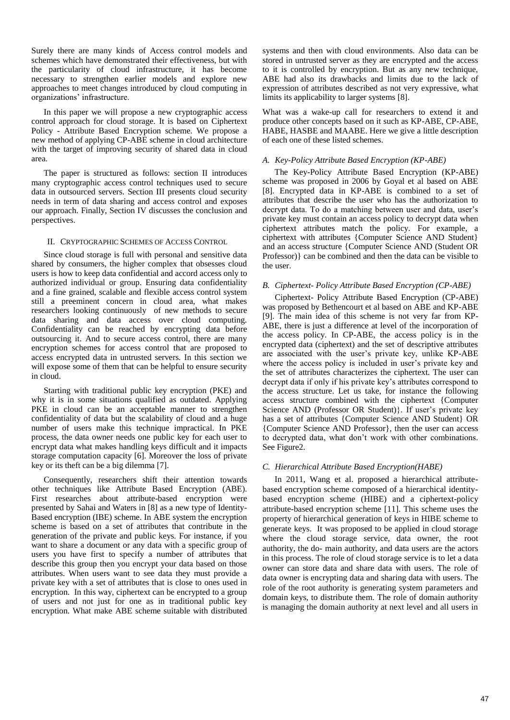Surely there are many kinds of Access control models and schemes which have demonstrated their effectiveness, but with the particularity of cloud infrastructure, it has become necessary to strengthen earlier models and explore new approaches to meet changes introduced by cloud computing in organizations' infrastructure.

In this paper we will propose a new cryptographic access control approach for cloud storage. It is based on Ciphertext Policy - Attribute Based Encryption scheme. We propose a new method of applying CP-ABE scheme in cloud architecture with the target of improving security of shared data in cloud area.

The paper is structured as follows: section II introduces many cryptographic access control techniques used to secure data in outsourced servers. Section III presents cloud security needs in term of data sharing and access control and exposes our approach. Finally, Section IV discusses the conclusion and perspectives.

## II. CRYPTOGRAPHIC SCHEMES OF ACCESS CONTROL

Since cloud storage is full with personal and sensitive data shared by consumers, the higher complex that obsesses cloud users is how to keep data confidential and accord access only to authorized individual or group. Ensuring data confidentiality and a fine grained, scalable and flexible access control system still a preeminent concern in cloud area, what makes researchers looking continuously of new methods to secure data sharing and data access over cloud computing. Confidentiality can be reached by encrypting data before outsourcing it. And to secure access control, there are many encryption schemes for access control that are proposed to access encrypted data in untrusted servers. In this section we will expose some of them that can be helpful to ensure security in cloud.

Starting with traditional public key encryption (PKE) and why it is in some situations qualified as outdated. Applying PKE in cloud can be an acceptable manner to strengthen confidentiality of data but the scalability of cloud and a huge number of users make this technique impractical. In PKE process, the data owner needs one public key for each user to encrypt data what makes handling keys difficult and it impacts storage computation capacity [6]. Moreover the loss of private key or its theft can be a big dilemma [7].

Consequently, researchers shift their attention towards other techniques like Attribute Based Encryption (ABE). First researches about attribute-based encryption were presented by Sahai and Waters in [8] as a new type of Identity-Based encryption (IBE) scheme. In ABE system the encryption scheme is based on a set of attributes that contribute in the generation of the private and public keys. For instance, if you want to share a document or any data with a specific group of users you have first to specify a number of attributes that describe this group then you encrypt your data based on those attributes. When users want to see data they must provide a private key with a set of attributes that is close to ones used in encryption. In this way, ciphertext can be encrypted to a group of users and not just for one as in traditional public key encryption. What make ABE scheme suitable with distributed systems and then with cloud environments. Also data can be stored in untrusted server as they are encrypted and the access to it is controlled by encryption. But as any new technique, ABE had also its drawbacks and limits due to the lack of expression of attributes described as not very expressive, what limits its applicability to larger systems [8].

What was a wake-up call for researchers to extend it and produce other concepts based on it such as KP-ABE, CP-ABE, HABE, HASBE and MAABE. Here we give a little description of each one of these listed schemes.

## *A. Key-Policy Attribute Based Encryption (KP-ABE)*

The Key-Policy Attribute Based Encryption (KP-ABE) scheme was proposed in 2006 by Goyal et al based on ABE [8]. Encrypted data in KP-ABE is combined to a set of attributes that describe the user who has the authorization to decrypt data. To do a matching between user and data, user's private key must contain an access policy to decrypt data when ciphertext attributes match the policy. For example, a ciphertext with attributes {Computer Science AND Student} and an access structure {Computer Science AND (Student OR Professor)} can be combined and then the data can be visible to the user.

## *B. Ciphertext- Policy Attribute Based Encryption (CP-ABE)*

Ciphertext- Policy Attribute Based Encryption (CP-ABE) was proposed by Bethencourt et al based on ABE and KP-ABE [9]. The main idea of this scheme is not very far from KP-ABE, there is just a difference at level of the incorporation of the access policy. In CP-ABE, the access policy is in the encrypted data (ciphertext) and the set of descriptive attributes are associated with the user's private key, unlike KP-ABE where the access policy is included in user's private key and the set of attributes characterizes the ciphertext. The user can decrypt data if only if his private key's attributes correspond to the access structure. Let us take, for instance the following access structure combined with the ciphertext {Computer Science AND (Professor OR Student)}. If user's private key has a set of attributes {Computer Science AND Student} OR {Computer Science AND Professor}, then the user can access to decrypted data, what don't work with other combinations. See Figure2.

#### *C. Hierarchical Attribute Based Encryption(HABE)*

In 2011, Wang et al. proposed a hierarchical attributebased encryption scheme composed of a hierarchical identitybased encryption scheme (HIBE) and a ciphertext-policy attribute-based encryption scheme [11]. This scheme uses the property of hierarchical generation of keys in HIBE scheme to generate keys. It was proposed to be applied in cloud storage where the cloud storage service, data owner, the root authority, the do- main authority, and data users are the actors in this process. The role of cloud storage service is to let a data owner can store data and share data with users. The role of data owner is encrypting data and sharing data with users. The role of the root authority is generating system parameters and domain keys, to distribute them. The role of domain authority is managing the domain authority at next level and all users in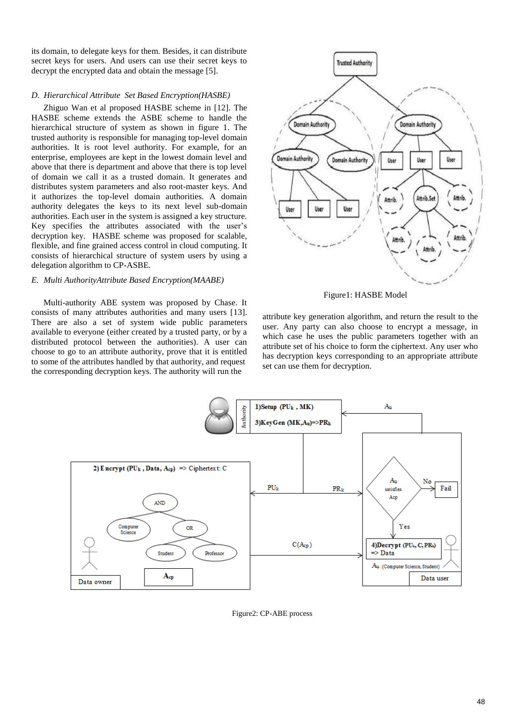its domain, to delegate keys for them. Besides, it can distribute secret keys for users. And users can use their secret keys to decrypt the encrypted data and obtain the message [5].

## *D. Hierarchical Attribute Set Based Encryption(HASBE)*

Zhiguo Wan et al proposed HASBE scheme in [12]. The HASBE scheme extends the ASBE scheme to handle the hierarchical structure of system as shown in figure 1. The trusted authority is responsible for managing top-level domain authorities. It is root level authority. For example, for an enterprise, employees are kept in the lowest domain level and above that there is department and above that there is top level of domain we call it as a trusted domain. It generates and distributes system parameters and also root-master keys. And it authorizes the top-level domain authorities. A domain authority delegates the keys to its next level sub-domain authorities. Each user in the system is assigned a key structure. Key specifies the attributes associated with the user's decryption key. HASBE scheme was proposed for scalable, flexible, and fine grained access control in cloud computing. It consists of hierarchical structure of system users by using a delegation algorithm to CP-ASBE.

## *E. Multi AuthorityAttribute Based Encryption(MAABE)*

Multi-authority ABE system was proposed by Chase. It consists of many attributes authorities and many users [13]. There are also a set of system wide public parameters available to everyone (either created by a trusted party, or by a distributed protocol between the authorities). A user can choose to go to an attribute authority, prove that it is entitled to some of the attributes handled by that authority, and request the corresponding decryption keys. The authority will run the



Figure1: HASBE Model

attribute key generation algorithm, and return the result to the user. Any party can also choose to encrypt a message, in which case he uses the public parameters together with an attribute set of his choice to form the ciphertext. Any user who has decryption keys corresponding to an appropriate attribute set can use them for decryption.



Figure2: CP-ABE process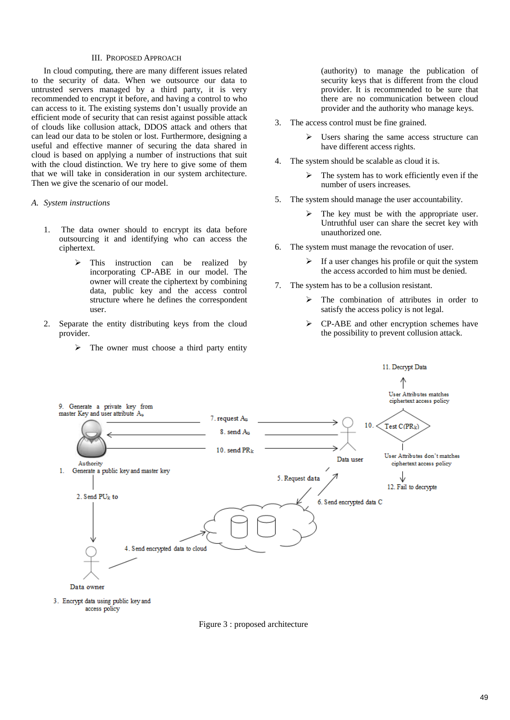### III. PROPOSED APPROACH

In cloud computing, there are many different issues related to the security of data. When we outsource our data to untrusted servers managed by a third party, it is very recommended to encrypt it before, and having a control to who can access to it. The existing systems don't usually provide an efficient mode of security that can resist against possible attack of clouds like collusion attack, DDOS attack and others that can lead our data to be stolen or lost. Furthermore, designing a useful and effective manner of securing the data shared in cloud is based on applying a number of instructions that suit with the cloud distinction. We try here to give some of them that we will take in consideration in our system architecture. Then we give the scenario of our model.

#### *A. System instructions*

- 1. The data owner should to encrypt its data before outsourcing it and identifying who can access the ciphertext.
	- $\triangleright$  This instruction can be realized by incorporating CP-ABE in our model. The owner will create the ciphertext by combining data, public key and the access control structure where he defines the correspondent user.
- 2. Separate the entity distributing keys from the cloud provider.
	- $\triangleright$  The owner must choose a third party entity

(authority) to manage the publication of security keys that is different from the cloud provider. It is recommended to be sure that there are no communication between cloud provider and the authority who manage keys.

- 3. The access control must be fine grained.
	- $\triangleright$  Users sharing the same access structure can have different access rights.
- 4. The system should be scalable as cloud it is.
	- $\triangleright$  The system has to work efficiently even if the number of users increases.
- 5. The system should manage the user accountability.
	- $\triangleright$  The key must be with the appropriate user. Untruthful user can share the secret key with unauthorized one.
- 6. The system must manage the revocation of user.
	- If a user changes his profile or quit the system the access accorded to him must be denied.
- 7. The system has to be a collusion resistant.
	- The combination of attributes in order to satisfy the access policy is not legal.
	- CP-ABE and other encryption schemes have the possibility to prevent collusion attack.



Figure 3 : proposed architecture